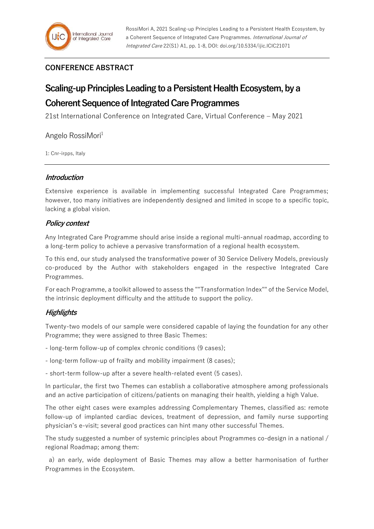## **CONFERENCE ABSTRACT**

# **Scaling-up Principles Leading to a Persistent Health Ecosystem, by a**

## **Coherent Sequence of Integrated Care Programmes**

21st International Conference on Integrated Care, Virtual Conference – May 2021

Angelo RossiMori<sup>1</sup>

1: Cnr-irpps, Italy

#### **Introduction**

Extensive experience is available in implementing successful Integrated Care Programmes; however, too many initiatives are independently designed and limited in scope to a specific topic, lacking a global vision.

### **Policy context**

Any Integrated Care Programme should arise inside a regional multi-annual roadmap, according to a long-term policy to achieve a pervasive transformation of a regional health ecosystem.

To this end, our study analysed the transformative power of 30 Service Delivery Models, previously co-produced by the Author with stakeholders engaged in the respective Integrated Care Programmes.

For each Programme, a toolkit allowed to assess the ""Transformation Index"" of the Service Model, the intrinsic deployment difficulty and the attitude to support the policy.

### **Highlights**

Twenty-two models of our sample were considered capable of laying the foundation for any other Programme; they were assigned to three Basic Themes:

- long-term follow-up of complex chronic conditions (9 cases);
- long-term follow-up of frailty and mobility impairment (8 cases);

- short-term follow-up after a severe health-related event (5 cases).

In particular, the first two Themes can establish a collaborative atmosphere among professionals and an active participation of citizens/patients on managing their health, yielding a high Value.

The other eight cases were examples addressing Complementary Themes, classified as: remote follow-up of implanted cardiac devices, treatment of depression, and family nurse supporting physician's e-visit; several good practices can hint many other successful Themes.

The study suggested a number of systemic principles about Programmes co-design in a national / regional Roadmap; among them:

 a) an early, wide deployment of Basic Themes may allow a better harmonisation of further Programmes in the Ecosystem.